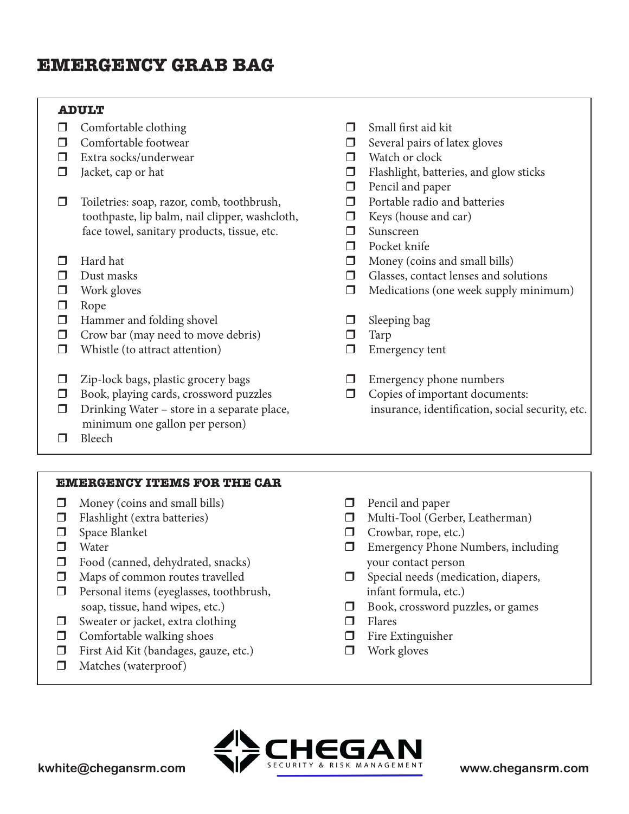# **EMERGENCY GRAB BAG**

# **ADULT**

- $\Box$  Comfortable clothing
- $\Box$  Comfortable footwear
- $\Box$  Extra socks/underwear
- $\Box$  Jacket, cap or hat
- □ Toiletries: soap, razor, comb, toothbrush, toothpaste, lip balm, nail clipper, washcloth, face towel, sanitary products, tissue, etc.
- $\Box$  Hard hat
- $\Box$  Dust masks
- $\Box$  Work gloves
- $\Box$  Rope
- $\Box$  Hammer and folding shovel
- $\Box$  Crow bar (may need to move debris)
- $\Box$  Whistle (to attract attention)
- $\Box$  Zip-lock bags, plastic grocery bags
- $\Box$  Book, playing cards, crossword puzzles
- $\Box$  Drinking Water store in a separate place, minimum one gallon per person)
- $\Box$  Bleech

### **EMERGENCY ITEMS FOR THE CAR**

- $\Box$  Money (coins and small bills)
- $\Box$  Flashlight (extra batteries)
- $\Box$  Space Blanket
- $\Box$  Water
- $\Box$  Food (canned, dehydrated, snacks)
- $\Box$  Maps of common routes travelled
- $\Box$  Personal items (eyeglasses, toothbrush, soap, tissue, hand wipes, etc.)
- $\Box$  Sweater or jacket, extra clothing
- $\Box$  Comfortable walking shoes
- $\Box$  First Aid Kit (bandages, gauze, etc.)
- $\Box$  Matches (waterproof)
- $\Box$  Small first aid kit
- $\Box$  Several pairs of latex gloves
- $\Box$  Watch or clock
- $\Box$  Flashlight, batteries, and glow sticks
- $\Box$  Pencil and paper
- $\Box$  Portable radio and batteries
- $\Box$  Keys (house and car)
- $\Box$  Sunscreen
- $\Box$  Pocket knife
- $\Box$  Money (coins and small bills)
- $\Box$  Glasses, contact lenses and solutions
- $\Box$  Medications (one week supply minimum)
- $\Box$  Sleeping bag
- $\Box$  Tarp
- $\Box$  Emergency tent
- $\Box$  Emergency phone numbers
- $\Box$  Copies of important documents: insurance, identification, social security, etc.
- $\Box$  Pencil and paper
- $\Box$  Multi-Tool (Gerber, Leatherman)
- $\Box$  Crowbar, rope, etc.)
- $\Box$  Emergency Phone Numbers, including your contact person
- $\Box$  Special needs (medication, diapers, infant formula, etc.)
- $\Box$  Book, crossword puzzles, or games
- $\Box$  Flares
- $\Box$  Fire Extinguisher
- $\Box$  Work gloves